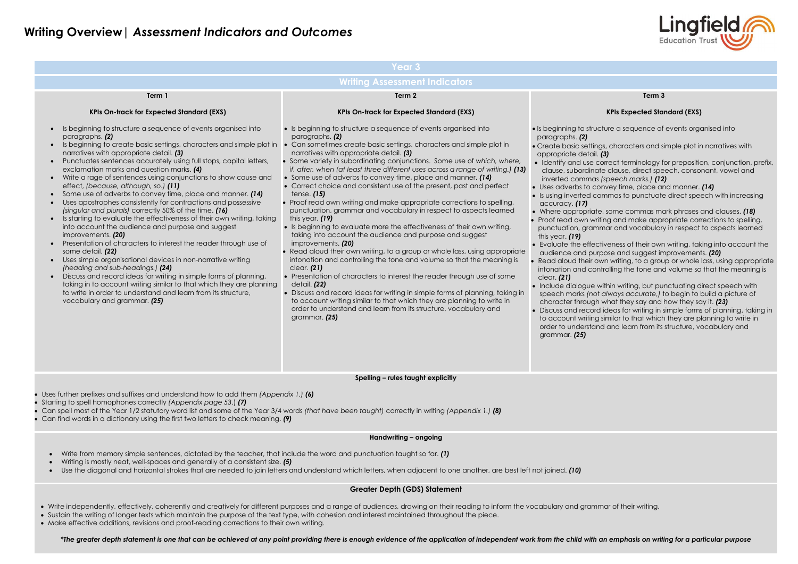### **Writing Overview|** *Assessment Indicators and Outcomes*

Intertifier and use terminology for preposition, conjunction, prefix, clause, direct speech, consonant, vowel and inverted commas *(speech marks.) (12)*

ey time, place and manner. *(14)* 

Is using inverted commas to punctuate direct speech with increasing

where commas mark phrases and clauses. **(18)** g and make appropriate corrections to spelling, ar and vocabulary in respect to aspects learned

eness of their own writing, taking into account the bse and suggest improvements. **(20)** writing, to a group or whole lass, using appropriate plling the tone and volume so that the meaning is

hin writing, but punctuating direct speech with ways accurate,) to begin to build a picture of hat they say and how they say it. *(23)* deas for writing in simple forms of planning, taking in milar to that which they are planning to write in and learn from its structure, vocabulary and

|                                                                                                                                                                                                                                                                                                                                                                                                                                                                                                                                                                                                                                                                                                                                                                                                                                                                                                                                                                                                                                                                                                                                                                                                                                                                                                                                   | <b>Year 3</b>                                                                                                                                                                                                                                                                                                                                                                                                                                                                                                                                                                                                                                                                                                                                                                                                                                                                                                                                                                                                                                                                                                                                                                                                                                                                                                                                                                     |                                                                                                                                                                                                                                                                                                                                                                                                                                                                                                                                                                                                                                                       |  |  |  |
|-----------------------------------------------------------------------------------------------------------------------------------------------------------------------------------------------------------------------------------------------------------------------------------------------------------------------------------------------------------------------------------------------------------------------------------------------------------------------------------------------------------------------------------------------------------------------------------------------------------------------------------------------------------------------------------------------------------------------------------------------------------------------------------------------------------------------------------------------------------------------------------------------------------------------------------------------------------------------------------------------------------------------------------------------------------------------------------------------------------------------------------------------------------------------------------------------------------------------------------------------------------------------------------------------------------------------------------|-----------------------------------------------------------------------------------------------------------------------------------------------------------------------------------------------------------------------------------------------------------------------------------------------------------------------------------------------------------------------------------------------------------------------------------------------------------------------------------------------------------------------------------------------------------------------------------------------------------------------------------------------------------------------------------------------------------------------------------------------------------------------------------------------------------------------------------------------------------------------------------------------------------------------------------------------------------------------------------------------------------------------------------------------------------------------------------------------------------------------------------------------------------------------------------------------------------------------------------------------------------------------------------------------------------------------------------------------------------------------------------|-------------------------------------------------------------------------------------------------------------------------------------------------------------------------------------------------------------------------------------------------------------------------------------------------------------------------------------------------------------------------------------------------------------------------------------------------------------------------------------------------------------------------------------------------------------------------------------------------------------------------------------------------------|--|--|--|
| <b>Writing Assessment Indicators</b>                                                                                                                                                                                                                                                                                                                                                                                                                                                                                                                                                                                                                                                                                                                                                                                                                                                                                                                                                                                                                                                                                                                                                                                                                                                                                              |                                                                                                                                                                                                                                                                                                                                                                                                                                                                                                                                                                                                                                                                                                                                                                                                                                                                                                                                                                                                                                                                                                                                                                                                                                                                                                                                                                                   |                                                                                                                                                                                                                                                                                                                                                                                                                                                                                                                                                                                                                                                       |  |  |  |
| Term 1                                                                                                                                                                                                                                                                                                                                                                                                                                                                                                                                                                                                                                                                                                                                                                                                                                                                                                                                                                                                                                                                                                                                                                                                                                                                                                                            | Term 2                                                                                                                                                                                                                                                                                                                                                                                                                                                                                                                                                                                                                                                                                                                                                                                                                                                                                                                                                                                                                                                                                                                                                                                                                                                                                                                                                                            |                                                                                                                                                                                                                                                                                                                                                                                                                                                                                                                                                                                                                                                       |  |  |  |
| <b>KPIs On-track for Expected Standard (EXS)</b>                                                                                                                                                                                                                                                                                                                                                                                                                                                                                                                                                                                                                                                                                                                                                                                                                                                                                                                                                                                                                                                                                                                                                                                                                                                                                  | <b>KPIs On-track for Expected Standard (EXS)</b>                                                                                                                                                                                                                                                                                                                                                                                                                                                                                                                                                                                                                                                                                                                                                                                                                                                                                                                                                                                                                                                                                                                                                                                                                                                                                                                                  |                                                                                                                                                                                                                                                                                                                                                                                                                                                                                                                                                                                                                                                       |  |  |  |
| Is beginning to structure a sequence of events organised into<br>$\bullet$<br>paragraphs. (2)<br>Is beginning to create basic settings, characters and simple plot in<br>narratives with appropriate detail. (3)<br>Punctuates sentences accurately using full stops, capital letters,<br>$\bullet$<br>exclamation marks and question marks. (4)<br>Write a rage of sentences using conjunctions to show cause and<br>$\bullet$<br>effect, (because, although, so.) (11)<br>Some use of adverbs to convey time, place and manner. (14)<br>$\bullet$<br>Uses apostrophes consistently for contractions and possessive<br>$\bullet$<br>(singular and plurals) correctly 50% of the time. (16)<br>Is starting to evaluate the effectiveness of their own writing, taking<br>$\bullet$<br>into account the audience and purpose and suggest<br>improvements. (20)<br>Presentation of characters to interest the reader through use of<br>some detail. (22)<br>Uses simple organisational devices in non-narrative writing<br>$\bullet$<br>(heading and sub-headings.) (24)<br>Discuss and record ideas for writing in simple forms of planning,<br>$\bullet$<br>taking in to account writing similar to that which they are planning<br>to write in order to understand and learn from its structure,<br>vocabulary and grammar. (25) | • Is beginning to structure a sequence of events organised into<br>paragraphs. (2)<br>• Can sometimes create basic settings, characters and simple plot in<br>narratives with appropriate detail. (3)<br>• Some variety in subordinating conjunctions. Some use of which, where,<br>if, after, when (at least three different uses across a range of writing.) (13)<br>• Some use of adverbs to convey time, place and manner. (14)<br>• Correct choice and consistent use of the present, past and perfect<br>tense. $(15)$<br>• Proof read own writing and make appropriate corrections to spelling,<br>punctuation, grammar and vocabulary in respect to aspects learned<br>this year. $(19)$<br>• Is beginning to evaluate more the effectiveness of their own writing,<br>taking into account the audience and purpose and suggest<br>improvements. (20)<br>• Read aloud their own writing, to a group or whole lass, using appropriate<br>intonation and controlling the tone and volume so that the meaning is<br>clear. $(21)$<br>• Presentation of characters to interest the reader through use of some<br>detail. (22)<br>• Discuss and record ideas for writing in simple forms of planning, taking in<br>to account writing similar to that which they are planning to write in<br>order to understand and learn from its structure, vocabulary and<br>grammar. (25) | • Is beginning to structure<br>paragraphs. (2)<br>• Create basic settings,<br>appropriate detail. (3)<br>• Identify and use corr<br>clause, subordinate<br>inverted commas (sp<br>· Uses adverbs to conv<br>• Is using inverted comi<br>accuracy. (17)<br>• Where appropriate, s<br>• Proof read own writing<br>punctuation, gramma<br>this year. (19)<br>• Evaluate the effective<br>audience and purpo:<br>• Read aloud their own<br>intonation and contro<br>clear. (21)<br>• Include dialogue with<br>speech marks (not al<br>character through wh<br>• Discuss and record id<br>to account writing sin<br>order to understand a<br>grammar. (25) |  |  |  |
|                                                                                                                                                                                                                                                                                                                                                                                                                                                                                                                                                                                                                                                                                                                                                                                                                                                                                                                                                                                                                                                                                                                                                                                                                                                                                                                                   | Spelling - rules taught explicitly                                                                                                                                                                                                                                                                                                                                                                                                                                                                                                                                                                                                                                                                                                                                                                                                                                                                                                                                                                                                                                                                                                                                                                                                                                                                                                                                                |                                                                                                                                                                                                                                                                                                                                                                                                                                                                                                                                                                                                                                                       |  |  |  |

### **Term 3**

### **KPIs Expected Standard (EXS)**

Ire a sequence of events organised into

characters and simple plot in narratives with

Uses further prefixes and suffixes and understand how to add them *(Appendix 1.) (6)*

- Starting to spell homophones correctly *(Appendix page 53*.) *(7)*
- Can spell most of the Year 1/2 statutory word list and some of the Year 3/4 words *(that have been taught)* correctly in writing *(Appendix 1.) (8)*
- Can find words in a dictionary using the first two letters to check meaning. *(9)*

### **Handwriting – ongoing**

- Write from memory simple sentences, dictated by the teacher, that include the word and punctuation taught so far. *(1)*
- Writing is mostly neat, well-spaces and generally of a consistent size. *(5)*
- Use the diagonal and horizontal strokes that are needed to join letters and understand which letters, when adjacent to one another, are best left not joined. *(10)*

### **Greater Depth (GDS) Statement**

- Write independently, effectively, coherently and creatively for different purposes and a range of audiences, drawing on their reading to inform the vocabulary and grammar of their writing.
- Sustain the writing of longer texts which maintain the purpose of the text type, with cohesion and interest maintained throughout the piece.
- Make effective additions, revisions and proof-reading corrections to their own writing.

*\*The greater depth statement is one that can be achieved at any point providing there is enough evidence of the application of independent work from the child with an emphasis on writing for a particular purpose*